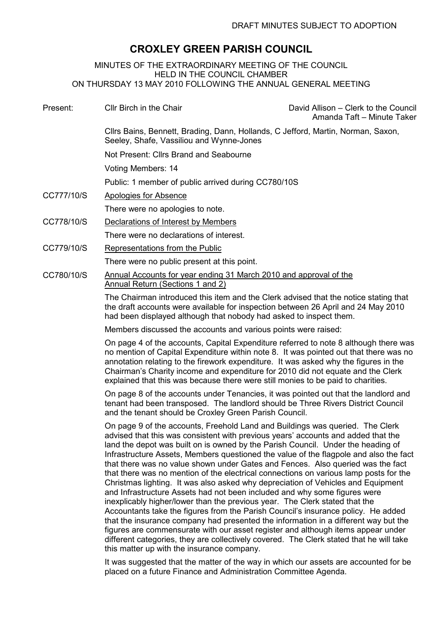## CROXLEY GREEN PARISH COUNCIL

MINUTES OF THE EXTRAORDINARY MEETING OF THE COUNCIL HELD IN THE COUNCIL CHAMBER ON THURSDAY 13 MAY 2010 FOLLOWING THE ANNUAL GENERAL MEETING

Present: Cllr Birch in the Chair David Allison – Clerk to the Council Amanda Taft – Minute Taker Cllrs Bains, Bennett, Brading, Dann, Hollands, C Jefford, Martin, Norman, Saxon, Seeley, Shafe, Vassiliou and Wynne-Jones Not Present: Cllrs Brand and Seabourne Voting Members: 14 Public: 1 member of public arrived during CC780/10S CC777/10/S Apologies for Absence There were no apologies to note. CC778/10/S Declarations of Interest by Members There were no declarations of interest. CC779/10/S Representations from the Public There were no public present at this point. CC780/10/S Annual Accounts for year ending 31 March 2010 and approval of the Annual Return (Sections 1 and 2)

> The Chairman introduced this item and the Clerk advised that the notice stating that the draft accounts were available for inspection between 26 April and 24 May 2010 had been displayed although that nobody had asked to inspect them.

Members discussed the accounts and various points were raised:

On page 4 of the accounts, Capital Expenditure referred to note 8 although there was no mention of Capital Expenditure within note 8. It was pointed out that there was no annotation relating to the firework expenditure. It was asked why the figures in the Chairman's Charity income and expenditure for 2010 did not equate and the Clerk explained that this was because there were still monies to be paid to charities.

On page 8 of the accounts under Tenancies, it was pointed out that the landlord and tenant had been transposed. The landlord should be Three Rivers District Council and the tenant should be Croxley Green Parish Council.

On page 9 of the accounts, Freehold Land and Buildings was queried. The Clerk advised that this was consistent with previous years' accounts and added that the land the depot was built on is owned by the Parish Council. Under the heading of Infrastructure Assets, Members questioned the value of the flagpole and also the fact that there was no value shown under Gates and Fences. Also queried was the fact that there was no mention of the electrical connections on various lamp posts for the Christmas lighting. It was also asked why depreciation of Vehicles and Equipment and Infrastructure Assets had not been included and why some figures were inexplicably higher/lower than the previous year. The Clerk stated that the Accountants take the figures from the Parish Council's insurance policy. He added that the insurance company had presented the information in a different way but the figures are commensurate with our asset register and although items appear under different categories, they are collectively covered. The Clerk stated that he will take this matter up with the insurance company.

It was suggested that the matter of the way in which our assets are accounted for be placed on a future Finance and Administration Committee Agenda.